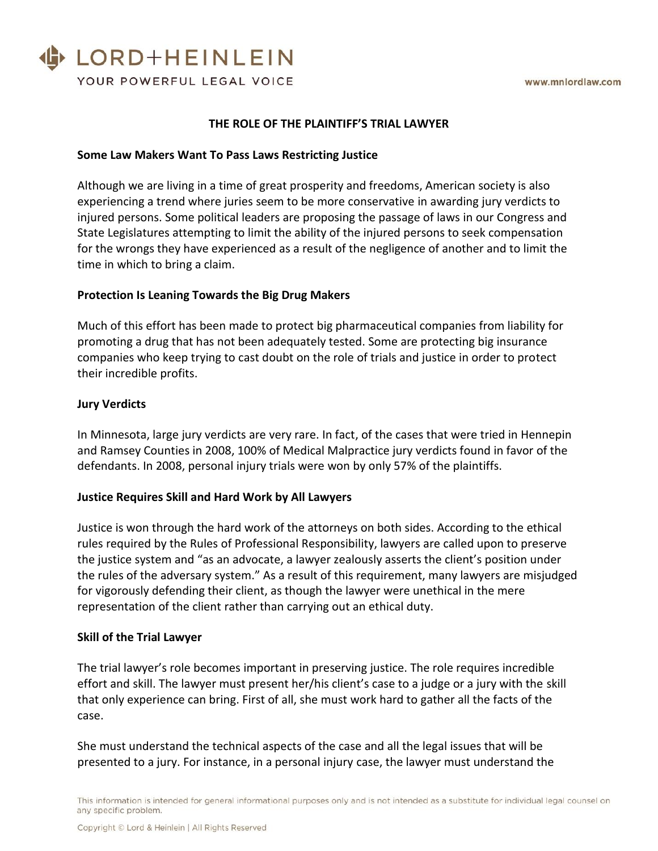# LORD+HEINLEIN YOUR POWERFUL LEGAL VOICE

#### **THE ROLE OF THE PLAINTIFF'S TRIAL LAWYER**

#### **Some Law Makers Want To Pass Laws Restricting Justice**

Although we are living in a time of great prosperity and freedoms, American society is also experiencing a trend where juries seem to be more conservative in awarding jury verdicts to injured persons. Some political leaders are proposing the passage of laws in our Congress and State Legislatures attempting to limit the ability of the injured persons to seek compensation for the wrongs they have experienced as a result of the negligence of another and to limit the time in which to bring a claim.

#### **Protection Is Leaning Towards the Big Drug Makers**

Much of this effort has been made to protect big pharmaceutical companies from liability for promoting a drug that has not been adequately tested. Some are protecting big insurance companies who keep trying to cast doubt on the role of trials and justice in order to protect their incredible profits.

#### **Jury Verdicts**

In Minnesota, large jury verdicts are very rare. In fact, of the cases that were tried in Hennepin and Ramsey Counties in 2008, 100% of Medical Malpractice jury verdicts found in favor of the defendants. In 2008, personal injury trials were won by only 57% of the plaintiffs.

#### **Justice Requires Skill and Hard Work by All Lawyers**

Justice is won through the hard work of the attorneys on both sides. According to the ethical rules required by the Rules of Professional Responsibility, lawyers are called upon to preserve the justice system and "as an advocate, a lawyer zealously asserts the client's position under the rules of the adversary system." As a result of this requirement, many lawyers are misjudged for vigorously defending their client, as though the lawyer were unethical in the mere representation of the client rather than carrying out an ethical duty.

#### **Skill of the Trial Lawyer**

The trial lawyer's role becomes important in preserving justice. The role requires incredible effort and skill. The lawyer must present her/his client's case to a judge or a jury with the skill that only experience can bring. First of all, she must work hard to gather all the facts of the case.

She must understand the technical aspects of the case and all the legal issues that will be presented to a jury. For instance, in a personal injury case, the lawyer must understand the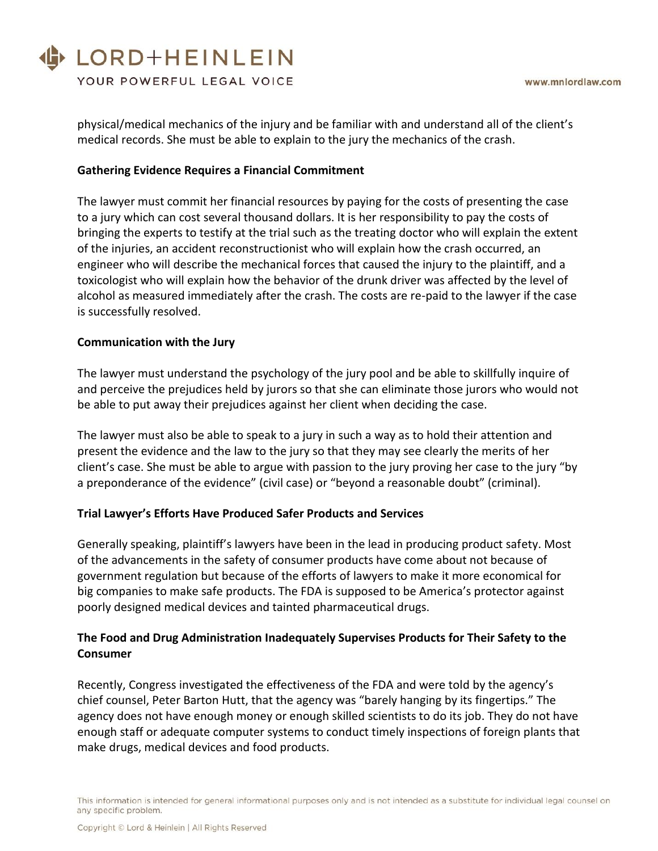# LORD+HEINLEIN

YOUR POWERFUL LEGAL VOICE

physical/medical mechanics of the injury and be familiar with and understand all of the client's medical records. She must be able to explain to the jury the mechanics of the crash.

# **Gathering Evidence Requires a Financial Commitment**

The lawyer must commit her financial resources by paying for the costs of presenting the case to a jury which can cost several thousand dollars. It is her responsibility to pay the costs of bringing the experts to testify at the trial such as the treating doctor who will explain the extent of the injuries, an accident reconstructionist who will explain how the crash occurred, an engineer who will describe the mechanical forces that caused the injury to the plaintiff, and a toxicologist who will explain how the behavior of the drunk driver was affected by the level of alcohol as measured immediately after the crash. The costs are re-paid to the lawyer if the case is successfully resolved.

## **Communication with the Jury**

The lawyer must understand the psychology of the jury pool and be able to skillfully inquire of and perceive the prejudices held by jurors so that she can eliminate those jurors who would not be able to put away their prejudices against her client when deciding the case.

The lawyer must also be able to speak to a jury in such a way as to hold their attention and present the evidence and the law to the jury so that they may see clearly the merits of her client's case. She must be able to argue with passion to the jury proving her case to the jury "by a preponderance of the evidence" (civil case) or "beyond a reasonable doubt" (criminal).

# **Trial Lawyer's Efforts Have Produced Safer Products and Services**

Generally speaking, plaintiff's lawyers have been in the lead in producing product safety. Most of the advancements in the safety of consumer products have come about not because of government regulation but because of the efforts of lawyers to make it more economical for big companies to make safe products. The FDA is supposed to be America's protector against poorly designed medical devices and tainted pharmaceutical drugs.

# **The Food and Drug Administration Inadequately Supervises Products for Their Safety to the Consumer**

Recently, Congress investigated the effectiveness of the FDA and were told by the agency's chief counsel, Peter Barton Hutt, that the agency was "barely hanging by its fingertips." The agency does not have enough money or enough skilled scientists to do its job. They do not have enough staff or adequate computer systems to conduct timely inspections of foreign plants that make drugs, medical devices and food products.